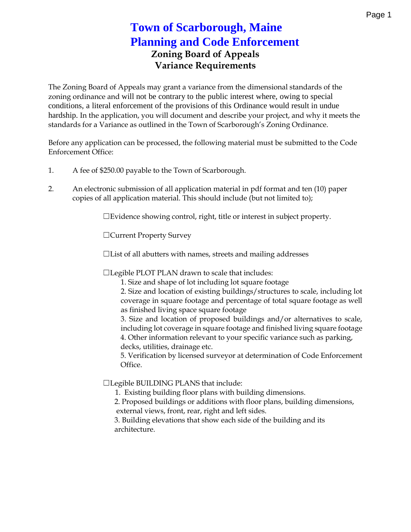### **Zoning Board of Appeals Variance Requirements Town of Scarborough, Maine Planning and Code Enforcement**

The Zoning Board of Appeals may grant a variance from the dimensional standards of the zoning ordinance and will not be contrary to the public interest where, owing to special conditions, a literal enforcement of the provisions of this Ordinance would result in undue hardship. In the application, you will document and describe your project, and why it meets the standards for a Variance as outlined in the Town of Scarborough's Zoning Ordinance.

Before any application can be processed, the following material must be submitted to the Code Enforcement Office:

- 1. A fee of \$250.00 payable to the Town of Scarborough.
- 2. An electronic submission of all application material in pdf format and ten (10) paper copies of all application material. This should include (but not limited to);

☐Evidence showing control, right, title or interest in subject property.

☐Current Property Survey

☐List of all abutters with names, streets and mailing addresses

☐Legible PLOT PLAN drawn to scale that includes:

1. Size and shape of lot including lot square footage

2. Size and location of existing buildings/structures to scale, including lot coverage in square footage and percentage of total square footage as well as finished living space square footage

3. Size and location of proposed buildings and/or alternatives to scale, including lot coverage in square footage and finished living square footage 4. Other information relevant to your specific variance such as parking,

decks, utilities, drainage etc.

5. Verification by licensed surveyor at determination of Code Enforcement Office.

☐Legible BUILDING PLANS that include:

1. Existing building floor plans with building dimensions.

2. Proposed buildings or additions with floor plans, building dimensions,

external views, front, rear, right and left sides.

3. Building elevations that show each side of the building and its architecture.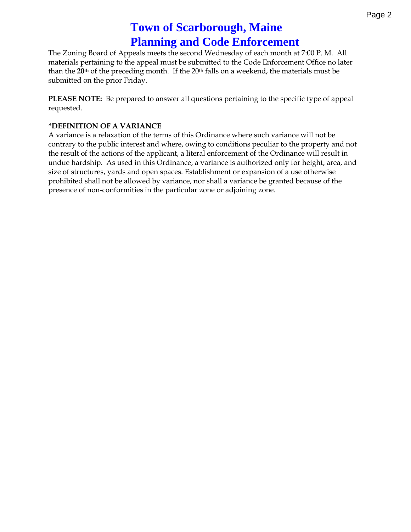## **Town of Scarborough, Maine Planning and Code Enforcement**

The Zoning Board of Appeals meets the second Wednesday of each month at 7:00 P. M. All materials pertaining to the appeal must be submitted to the Code Enforcement Office no later than the **20th** of the preceding month. If the 20th falls on a weekend, the materials must be submitted on the prior Friday.

**PLEASE NOTE:** Be prepared to answer all questions pertaining to the specific type of appeal requested.

#### **\*DEFINITION OF A VARIANCE**

A variance is a relaxation of the terms of this Ordinance where such variance will not be contrary to the public interest and where, owing to conditions peculiar to the property and not the result of the actions of the applicant, a literal enforcement of the Ordinance will result in undue hardship. As used in this Ordinance, a variance is authorized only for height, area, and size of structures, yards and open spaces. Establishment or expansion of a use otherwise prohibited shall not be allowed by variance, nor shall a variance be granted because of the presence of non-conformities in the particular zone or adjoining zone.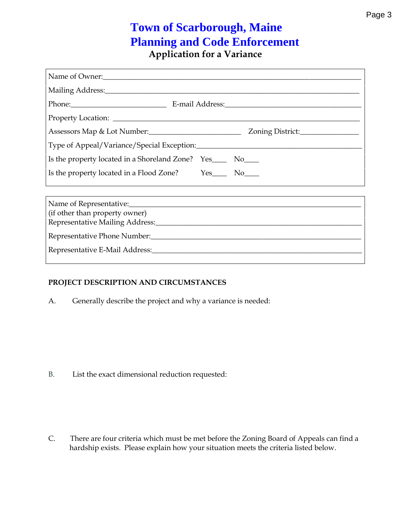### **Application for a Variance Town of Scarborough, Maine Planning and Code Enforcement**

| Name of Owner:                                                                                                 |  |  |
|----------------------------------------------------------------------------------------------------------------|--|--|
| Mailing Address: 1988 and 2008 and 2008 and 2008 and 2008 and 2008 and 2008 and 2008 and 2008 and 2008 and 200 |  |  |
|                                                                                                                |  |  |
|                                                                                                                |  |  |
|                                                                                                                |  |  |
|                                                                                                                |  |  |
| Is the property located in a Shoreland Zone? Yes______ No_____                                                 |  |  |
| Is the property located in a Flood Zone? Yes_________ No______                                                 |  |  |
|                                                                                                                |  |  |
| Name of Representative:                                                                                        |  |  |
| (if other than property owner)                                                                                 |  |  |
|                                                                                                                |  |  |
| Representative Phone Number:                                                                                   |  |  |

Representative E-Mail Address:\_\_\_\_\_\_\_\_\_\_\_\_\_\_\_\_\_\_\_\_\_\_\_\_\_\_\_\_\_\_\_\_\_\_\_\_\_\_\_\_\_\_\_\_\_\_\_\_\_\_\_\_\_\_\_\_\_

#### **PROJECT DESCRIPTION AND CIRCUMSTANCES**

A. Generally describe the project and why a variance is needed:

B. List the exact dimensional reduction requested:

C. There are four criteria which must be met before the Zoning Board of Appeals can find a hardship exists. Please explain how your situation meets the criteria listed below.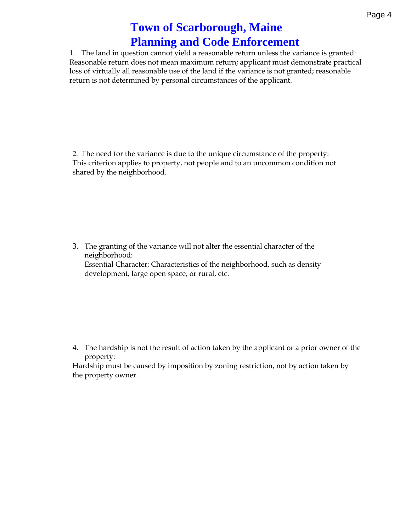## **Town of Scarborough, Maine Planning and Code Enforcement**

1. The land in question cannot yield a reasonable return unless the variance is granted: Reasonable return does not mean maximum return; applicant must demonstrate practical loss of virtually all reasonable use of the land if the variance is not granted; reasonable return is not determined by personal circumstances of the applicant.

2. The need for the variance is due to the unique circumstance of the property: This criterion applies to property, not people and to an uncommon condition not shared by the neighborhood.

3. The granting of the variance will not alter the essential character of the neighborhood: Essential Character: Characteristics of the neighborhood, such as density development, large open space, or rural, etc.

4. The hardship is not the result of action taken by the applicant or a prior owner of the property:

Hardship must be caused by imposition by zoning restriction, not by action taken by the property owner.